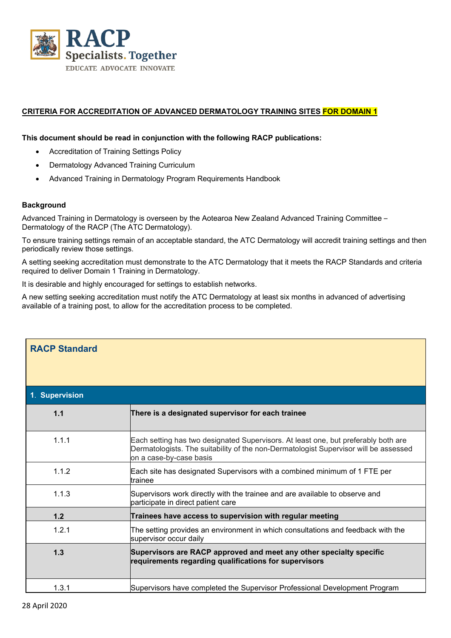

## **CRITERIA FOR ACCREDITATION OF ADVANCED DERMATOLOGY TRAINING SITES FOR DOMAIN 1**

## **This document should be read in conjunction with the following RACP publications:**

- Accreditation of Training Settings Policy
- Dermatology Advanced Training Curriculum
- Advanced Training in Dermatology Program Requirements Handbook

## **Background**

Advanced Training in Dermatology is overseen by the Aotearoa New Zealand Advanced Training Committee – Dermatology of the RACP (The ATC Dermatology).

To ensure training settings remain of an acceptable standard, the ATC Dermatology will accredit training settings and then periodically review those settings.

A setting seeking accreditation must demonstrate to the ATC Dermatology that it meets the RACP Standards and criteria required to deliver Domain 1 Training in Dermatology.

It is desirable and highly encouraged for settings to establish networks.

A new setting seeking accreditation must notify the ATC Dermatology at least six months in advanced of advertising available of a training post, to allow for the accreditation process to be completed.

| <b>RACP Standard</b> |                                                                                                                                                                                                       |
|----------------------|-------------------------------------------------------------------------------------------------------------------------------------------------------------------------------------------------------|
| 1. Supervision       |                                                                                                                                                                                                       |
| 1.1                  | There is a designated supervisor for each trainee                                                                                                                                                     |
| 1.1.1                | Each setting has two designated Supervisors. At least one, but preferably both are<br>Dermatologists. The suitability of the non-Dermatologist Supervisor will be assessed<br>on a case-by-case basis |
| 1.1.2                | Each site has designated Supervisors with a combined minimum of 1 FTE per<br>trainee                                                                                                                  |
| 1.1.3                | Supervisors work directly with the trainee and are available to observe and<br>participate in direct patient care                                                                                     |
| 1.2                  | Trainees have access to supervision with regular meeting                                                                                                                                              |
| 1.2.1                | The setting provides an environment in which consultations and feedback with the<br>supervisor occur daily                                                                                            |
| 1.3                  | Supervisors are RACP approved and meet any other specialty specific<br>requirements regarding qualifications for supervisors                                                                          |
| 1.3.1                | Supervisors have completed the Supervisor Professional Development Program                                                                                                                            |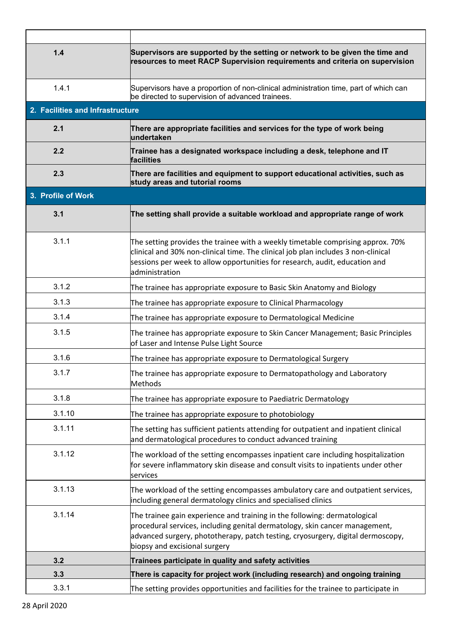| 1.4                              | Supervisors are supported by the setting or network to be given the time and<br>resources to meet RACP Supervision requirements and criteria on supervision                                                                                                                  |
|----------------------------------|------------------------------------------------------------------------------------------------------------------------------------------------------------------------------------------------------------------------------------------------------------------------------|
| 1.4.1                            | Supervisors have a proportion of non-clinical administration time, part of which can<br>be directed to supervision of advanced trainees.                                                                                                                                     |
| 2. Facilities and Infrastructure |                                                                                                                                                                                                                                                                              |
| 2.1                              | There are appropriate facilities and services for the type of work being<br>lundertaken                                                                                                                                                                                      |
| 2.2                              | Trainee has a designated workspace including a desk, telephone and IT<br>facilities                                                                                                                                                                                          |
| 2.3                              | There are facilities and equipment to support educational activities, such as<br>study areas and tutorial rooms                                                                                                                                                              |
| 3. Profile of Work               |                                                                                                                                                                                                                                                                              |
| 3.1                              | The setting shall provide a suitable workload and appropriate range of work                                                                                                                                                                                                  |
| 3.1.1                            | The setting provides the trainee with a weekly timetable comprising approx. 70%<br>clinical and 30% non-clinical time. The clinical job plan includes 3 non-clinical<br>sessions per week to allow opportunities for research, audit, education and<br>administration        |
| 3.1.2                            | The trainee has appropriate exposure to Basic Skin Anatomy and Biology                                                                                                                                                                                                       |
| 3.1.3                            | The trainee has appropriate exposure to Clinical Pharmacology                                                                                                                                                                                                                |
| 3.1.4                            | The trainee has appropriate exposure to Dermatological Medicine                                                                                                                                                                                                              |
| 3.1.5                            | The trainee has appropriate exposure to Skin Cancer Management; Basic Principles<br>of Laser and Intense Pulse Light Source                                                                                                                                                  |
| 3.1.6                            | The trainee has appropriate exposure to Dermatological Surgery                                                                                                                                                                                                               |
| 3.1.7                            | The trainee has appropriate exposure to Dermatopathology and Laboratory<br><b>Methods</b>                                                                                                                                                                                    |
| 3.1.8                            | The trainee has appropriate exposure to Paediatric Dermatology                                                                                                                                                                                                               |
| 3.1.10                           | The trainee has appropriate exposure to photobiology                                                                                                                                                                                                                         |
| 3.1.11                           | The setting has sufficient patients attending for outpatient and inpatient clinical<br>and dermatological procedures to conduct advanced training                                                                                                                            |
| 3.1.12                           | The workload of the setting encompasses inpatient care including hospitalization<br>for severe inflammatory skin disease and consult visits to inpatients under other<br>services                                                                                            |
| 3.1.13                           | The workload of the setting encompasses ambulatory care and outpatient services,<br>including general dermatology clinics and specialised clinics                                                                                                                            |
| 3.1.14                           | The trainee gain experience and training in the following: dermatological<br>procedural services, including genital dermatology, skin cancer management,<br>advanced surgery, phototherapy, patch testing, cryosurgery, digital dermoscopy,<br>biopsy and excisional surgery |
| 3.2                              | Trainees participate in quality and safety activities                                                                                                                                                                                                                        |
| 3.3                              | There is capacity for project work (including research) and ongoing training                                                                                                                                                                                                 |
| 3.3.1                            | The setting provides opportunities and facilities for the trainee to participate in                                                                                                                                                                                          |